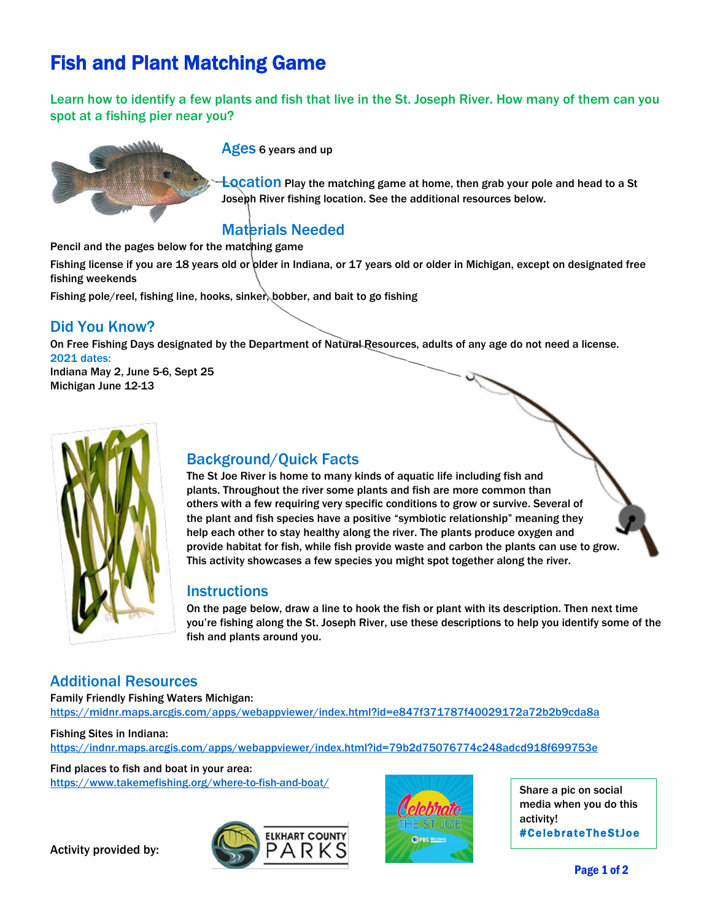# Fish and Plant Matching Game

Learn how to identify a few plants and fish that live in the St. Joseph River. How many of them can you spot at a fishing pier near you?



Ages 6 years and up

**Location** Play the matching game at home, then grab your pole and head to a St Joseph River fishing location. See the additional resources below.

# Materials Needed

Pencil and the pages below for the matching game

Fishing license if you are 18 years old or older in Indiana, or 17 years old or older in Michigan, except on designated free fishing weekends

Fishing pole/reel, fishing line, hooks, sinker, bobber, and bait to go fishing

## Did You Know?

On Free Fishing Days designated by the Department of Natural Resources, adults of any age do not need a license. 2021 dates: Indiana May 2, June 5-6, Sept 25 Michigan June 12-13

# Background/Quick Facts

The St Joe River is home to many kinds of aquatic life including fish and plants. Throughout the river some plants and fish are more common than others with a few requiring very specific conditions to grow or survive. Several of the plant and fish species have a positive "symbiotic relationship" meaning they help each other to stay healthy along the river. The plants produce oxygen and provide habitat for fish, while fish provide waste and carbon the plants can use to grow. This activity showcases a few species you might spot together along the river.

## **Instructions**

On the page below, draw a line to hook the fish or plant with its description. Then next time you're fishing along the St. Joseph River, use these descriptions to help you identify some of the fish and plants around you.

## Additional Resources

Family Friendly Fishing Waters Michigan: <https://midnr.maps.arcgis.com/apps/webappviewer/index.html?id=e847f371787f40029172a72b2b9cda8a>

Fishing Sites in Indiana: <https://indnr.maps.arcgis.com/apps/webappviewer/index.html?id=79b2d75076774c248adcd918f699753e>

Find places to fish and boat in your area: <https://www.takemefishing.org/where-to-fish-and-boat/>

Activity provided by:





Share a pic on social media when you do this activity! #CelebrateTheStJoe